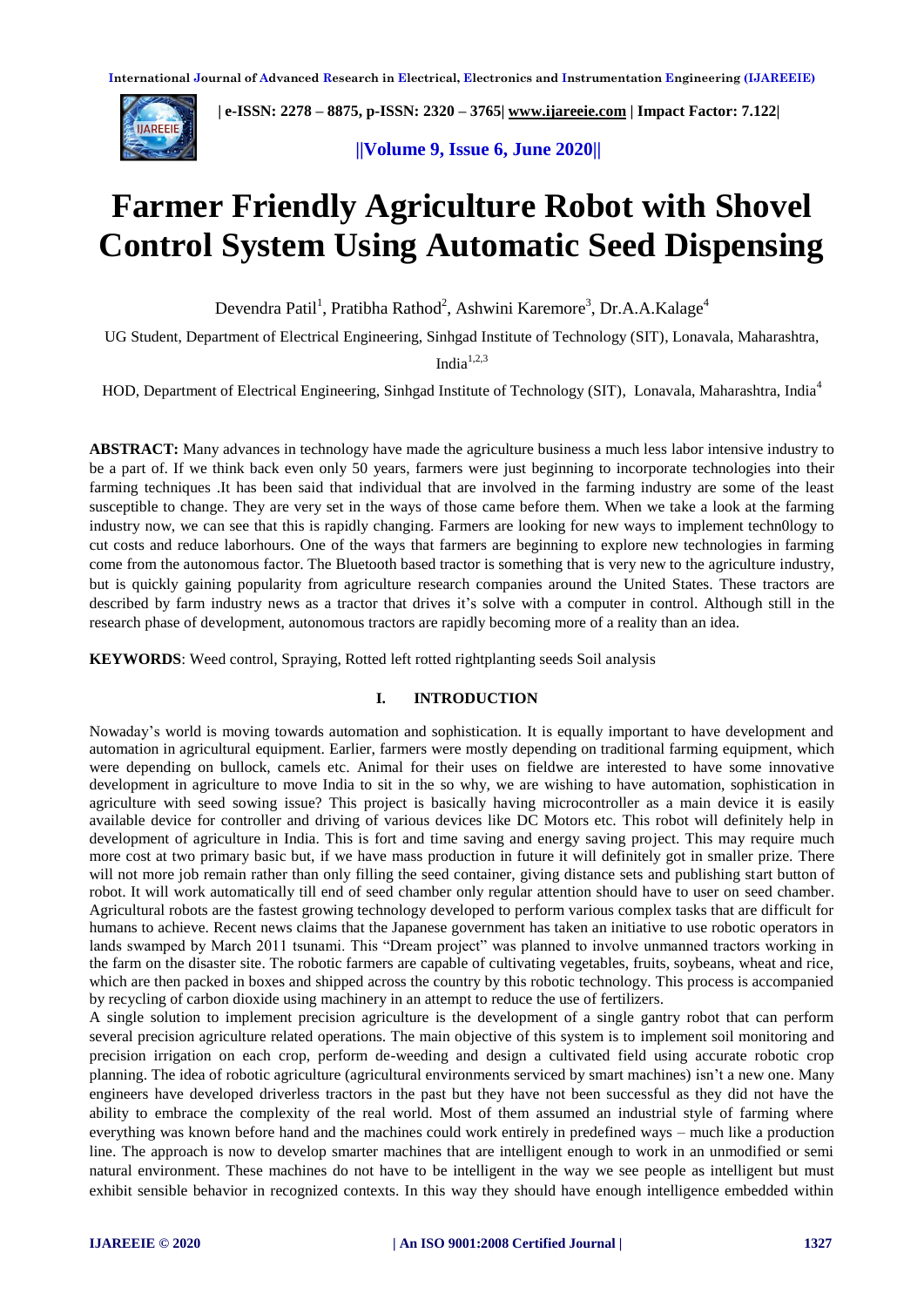

 **| e-ISSN: 2278 – 8875, p-ISSN: 2320 – 3765[| www.ijareeie.com](http://www.ijareeie.com/) | Impact Factor: 7.122|** 

 **||Volume 9, Issue 6, June 2020||** 

# **Farmer Friendly Agriculture Robot with Shovel Control System Using Automatic Seed Dispensing**

Devendra Patil<sup>1</sup>, Pratibha Rathod<sup>2</sup>, Ashwini Karemore<sup>3</sup>, Dr.A.A.Kalage<sup>4</sup>

UG Student, Department of Electrical Engineering, Sinhgad Institute of Technology (SIT), Lonavala, Maharashtra,

India $1,2,3$ 

HOD, Department of Electrical Engineering, Sinhgad Institute of Technology (SIT), Lonavala, Maharashtra, India<sup>4</sup>

**ABSTRACT:** Many advances in technology have made the agriculture business a much less labor intensive industry to be a part of. If we think back even only 50 years, farmers were just beginning to incorporate technologies into their farming techniques .It has been said that individual that are involved in the farming industry are some of the least susceptible to change. They are very set in the ways of those came before them. When we take a look at the farming industry now, we can see that this is rapidly changing. Farmers are looking for new ways to implement techn0logy to cut costs and reduce laborhours. One of the ways that farmers are beginning to explore new technologies in farming come from the autonomous factor. The Bluetooth based tractor is something that is very new to the agriculture industry, but is quickly gaining popularity from agriculture research companies around the United States. These tractors are described by farm industry news as a tractor that drives it's solve with a computer in control. Although still in the research phase of development, autonomous tractors are rapidly becoming more of a reality than an idea.

**KEYWORDS**: Weed control, Spraying, Rotted left rotted rightplanting seeds Soil analysis

#### **I. INTRODUCTION**

Nowaday's world is moving towards automation and sophistication. It is equally important to have development and automation in agricultural equipment. Earlier, farmers were mostly depending on traditional farming equipment, which were depending on bullock, camels etc. Animal for their uses on fieldwe are interested to have some innovative development in agriculture to move India to sit in the so why, we are wishing to have automation, sophistication in agriculture with seed sowing issue? This project is basically having microcontroller as a main device it is easily available device for controller and driving of various devices like DC Motors etc. This robot will definitely help in development of agriculture in India. This is fort and time saving and energy saving project. This may require much more cost at two primary basic but, if we have mass production in future it will definitely got in smaller prize. There will not more job remain rather than only filling the seed container, giving distance sets and publishing start button of robot. It will work automatically till end of seed chamber only regular attention should have to user on seed chamber. Agricultural robots are the fastest growing technology developed to perform various complex tasks that are difficult for humans to achieve. Recent news claims that the Japanese government has taken an initiative to use robotic operators in lands swamped by March 2011 tsunami. This "Dream project" was planned to involve unmanned tractors working in the farm on the disaster site. The robotic farmers are capable of cultivating vegetables, fruits, soybeans, wheat and rice, which are then packed in boxes and shipped across the country by this robotic technology. This process is accompanied by recycling of carbon dioxide using machinery in an attempt to reduce the use of fertilizers.

A single solution to implement precision agriculture is the development of a single gantry robot that can perform several precision agriculture related operations. The main objective of this system is to implement soil monitoring and precision irrigation on each crop, perform de-weeding and design a cultivated field using accurate robotic crop planning. The idea of robotic agriculture (agricultural environments serviced by smart machines) isn't a new one. Many engineers have developed driverless tractors in the past but they have not been successful as they did not have the ability to embrace the complexity of the real world. Most of them assumed an industrial style of farming where everything was known before hand and the machines could work entirely in predefined ways – much like a production line. The approach is now to develop smarter machines that are intelligent enough to work in an unmodified or semi natural environment. These machines do not have to be intelligent in the way we see people as intelligent but must exhibit sensible behavior in recognized contexts. In this way they should have enough intelligence embedded within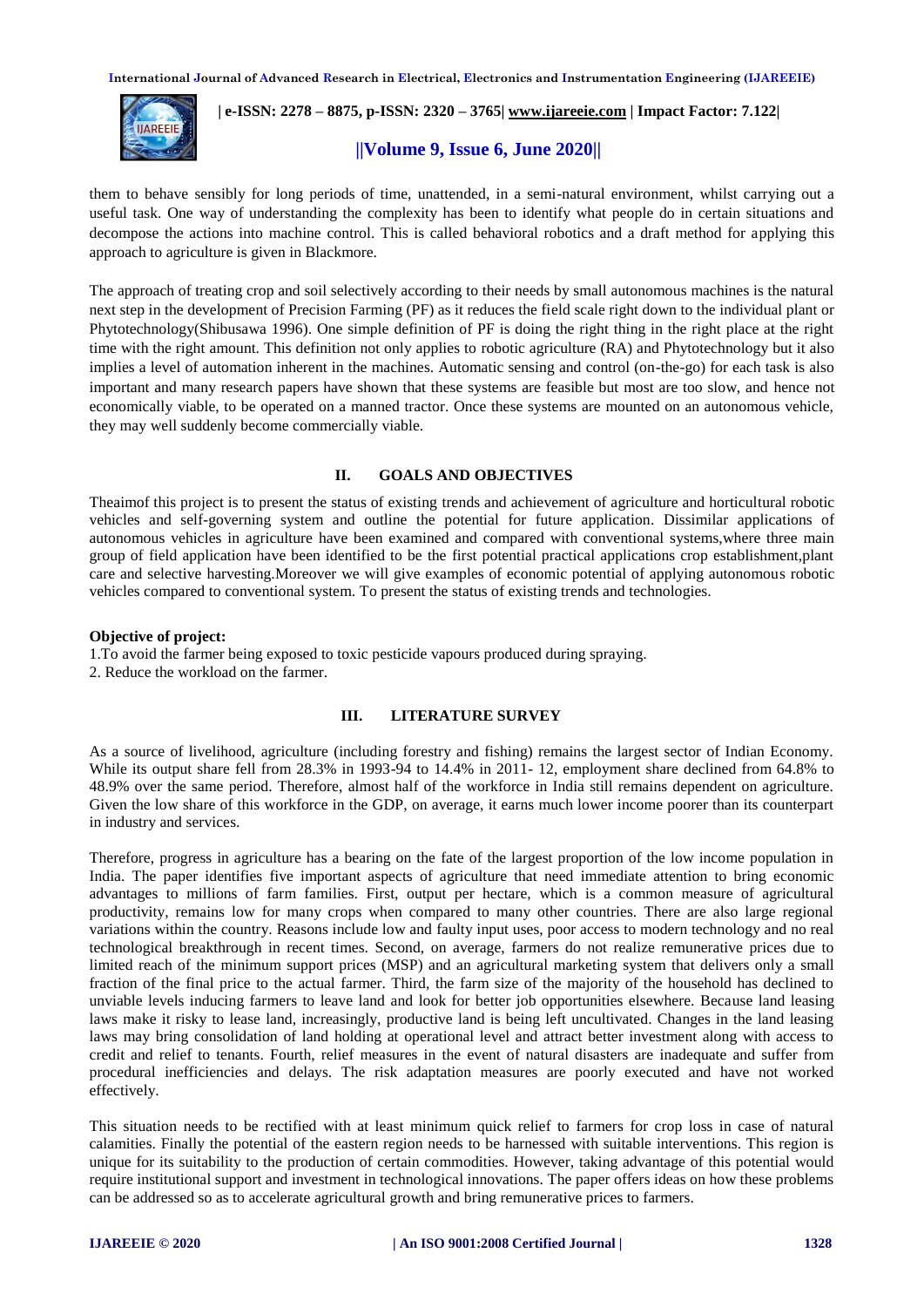

# **| e-ISSN: 2278 – 8875, p-ISSN: 2320 – 3765[| www.ijareeie.com](http://www.ijareeie.com/) | Impact Factor: 7.122|**

# **||Volume 9, Issue 6, June 2020||**

them to behave sensibly for long periods of time, unattended, in a semi-natural environment, whilst carrying out a useful task. One way of understanding the complexity has been to identify what people do in certain situations and decompose the actions into machine control. This is called behavioral robotics and a draft method for applying this approach to agriculture is given in Blackmore.

The approach of treating crop and soil selectively according to their needs by small autonomous machines is the natural next step in the development of Precision Farming (PF) as it reduces the field scale right down to the individual plant or Phytotechnology(Shibusawa 1996). One simple definition of PF is doing the right thing in the right place at the right time with the right amount. This definition not only applies to robotic agriculture (RA) and Phytotechnology but it also implies a level of automation inherent in the machines. Automatic sensing and control (on-the-go) for each task is also important and many research papers have shown that these systems are feasible but most are too slow, and hence not economically viable, to be operated on a manned tractor. Once these systems are mounted on an autonomous vehicle, they may well suddenly become commercially viable.

#### **II. GOALS AND OBJECTIVES**

Theaimof this project is to present the status of existing trends and achievement of agriculture and horticultural robotic vehicles and self-governing system and outline the potential for future application. Dissimilar applications of autonomous vehicles in agriculture have been examined and compared with conventional systems,where three main group of field application have been identified to be the first potential practical applications crop establishment,plant care and selective harvesting.Moreover we will give examples of economic potential of applying autonomous robotic vehicles compared to conventional system. To present the status of existing trends and technologies.

#### **Objective of project:**

1.To avoid the farmer being exposed to toxic pesticide vapours produced during spraying.

2. Reduce the workload on the farmer.

### **III. LITERATURE SURVEY**

As a source of livelihood, agriculture (including forestry and fishing) remains the largest sector of Indian Economy. While its output share fell from 28.3% in 1993-94 to 14.4% in 2011- 12, employment share declined from 64.8% to 48.9% over the same period. Therefore, almost half of the workforce in India still remains dependent on agriculture. Given the low share of this workforce in the GDP, on average, it earns much lower income poorer than its counterpart in industry and services.

Therefore, progress in agriculture has a bearing on the fate of the largest proportion of the low income population in India. The paper identifies five important aspects of agriculture that need immediate attention to bring economic advantages to millions of farm families. First, output per hectare, which is a common measure of agricultural productivity, remains low for many crops when compared to many other countries. There are also large regional variations within the country. Reasons include low and faulty input uses, poor access to modern technology and no real technological breakthrough in recent times. Second, on average, farmers do not realize remunerative prices due to limited reach of the minimum support prices (MSP) and an agricultural marketing system that delivers only a small fraction of the final price to the actual farmer. Third, the farm size of the majority of the household has declined to unviable levels inducing farmers to leave land and look for better job opportunities elsewhere. Because land leasing laws make it risky to lease land, increasingly, productive land is being left uncultivated. Changes in the land leasing laws may bring consolidation of land holding at operational level and attract better investment along with access to credit and relief to tenants. Fourth, relief measures in the event of natural disasters are inadequate and suffer from procedural inefficiencies and delays. The risk adaptation measures are poorly executed and have not worked effectively.

This situation needs to be rectified with at least minimum quick relief to farmers for crop loss in case of natural calamities. Finally the potential of the eastern region needs to be harnessed with suitable interventions. This region is unique for its suitability to the production of certain commodities. However, taking advantage of this potential would require institutional support and investment in technological innovations. The paper offers ideas on how these problems can be addressed so as to accelerate agricultural growth and bring remunerative prices to farmers.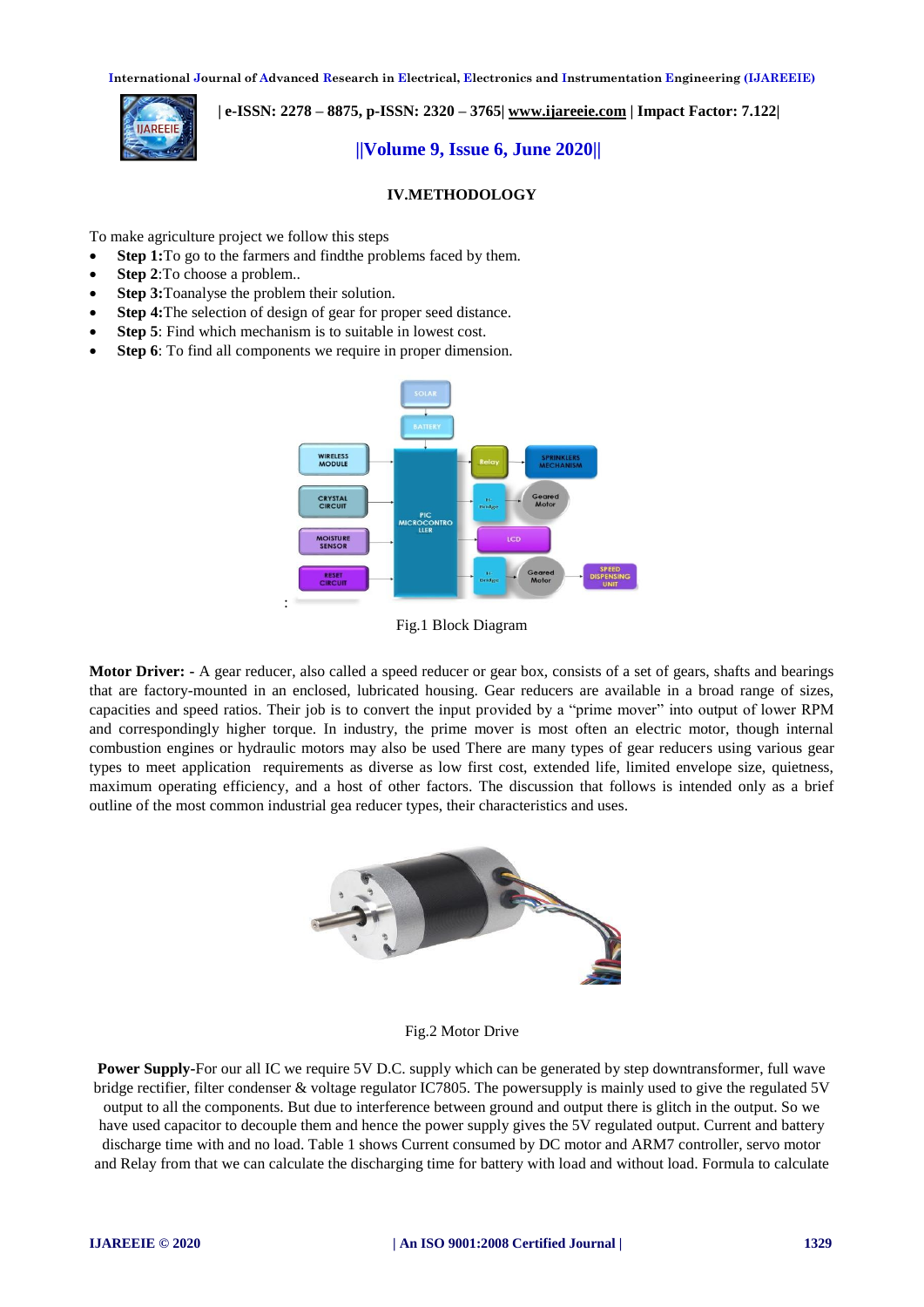

 **| e-ISSN: 2278 – 8875, p-ISSN: 2320 – 3765[| www.ijareeie.com](http://www.ijareeie.com/) | Impact Factor: 7.122|** 

# **||Volume 9, Issue 6, June 2020||**

# **IV.METHODOLOGY**

To make agriculture project we follow this steps

- **Step 1:**To go to the farmers and find the problems faced by them.
- **Step 2**:To choose a problem..
- **Step 3:**Toanalyse the problem their solution.
- **Step 4:**The selection of design of gear for proper seed distance.
- **Step 5**: Find which mechanism is to suitable in lowest cost.
- **Step 6**: To find all components we require in proper dimension.



Fig.1 Block Diagram

**Motor Driver: -** A gear reducer, also called a speed reducer or gear box, consists of a set of gears, shafts and bearings that are factory-mounted in an enclosed, lubricated housing. Gear reducers are available in a broad range of sizes, capacities and speed ratios. Their job is to convert the input provided by a "prime mover" into output of lower RPM and correspondingly higher torque. In industry, the prime mover is most often an electric motor, though internal combustion engines or hydraulic motors may also be used There are many types of gear reducers using various gear types to meet application requirements as diverse as low first cost, extended life, limited envelope size, quietness, maximum operating efficiency, and a host of other factors. The discussion that follows is intended only as a brief outline of the most common industrial gea reducer types, their characteristics and uses.



Fig.2 Motor Drive

**Power Supply-For our all IC we require 5V D.C.** supply which can be generated by step downtransformer, full wave bridge rectifier, filter condenser & voltage regulator IC7805. The powersupply is mainly used to give the regulated 5V output to all the components. But due to interference between ground and output there is glitch in the output. So we have used capacitor to decouple them and hence the power supply gives the 5V regulated output. Current and battery discharge time with and no load. Table 1 shows Current consumed by DC motor and ARM7 controller, servo motor and Relay from that we can calculate the discharging time for battery with load and without load. Formula to calculate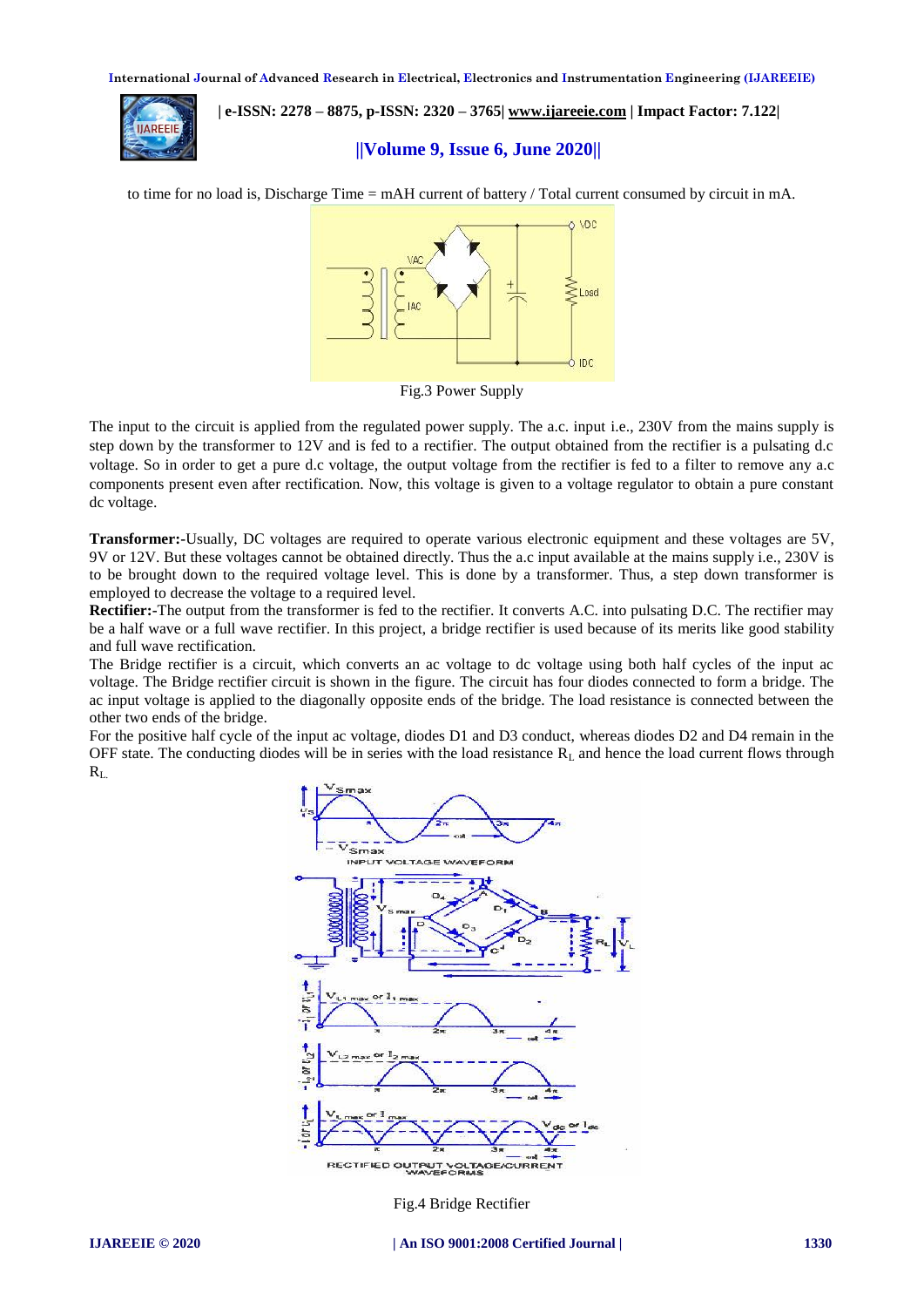**ILARFFIF** 

 **| e-ISSN: 2278 – 8875, p-ISSN: 2320 – 3765[| www.ijareeie.com](http://www.ijareeie.com/) | Impact Factor: 7.122|** 

# **||Volume 9, Issue 6, June 2020||**

to time for no load is, Discharge Time = mAH current of battery / Total current consumed by circuit in mA.



Fig.3 Power Supply

The input to the circuit is applied from the regulated power supply. The a.c. input i.e., 230V from the mains supply is step down by the transformer to 12V and is fed to a rectifier. The output obtained from the rectifier is a pulsating d.c voltage. So in order to get a pure d.c voltage, the output voltage from the rectifier is fed to a filter to remove any a.c components present even after rectification. Now, this voltage is given to a voltage regulator to obtain a pure constant dc voltage.

**Transformer:-**Usually, DC voltages are required to operate various electronic equipment and these voltages are 5V, 9V or 12V. But these voltages cannot be obtained directly. Thus the a.c input available at the mains supply i.e., 230V is to be brought down to the required voltage level. This is done by a transformer. Thus, a step down transformer is employed to decrease the voltage to a required level.

**Rectifier:-**The output from the transformer is fed to the rectifier. It converts A.C. into pulsating D.C. The rectifier may be a half wave or a full wave rectifier. In this project, a bridge rectifier is used because of its merits like good stability and full wave rectification.

The Bridge rectifier is a circuit, which converts an ac voltage to dc voltage using both half cycles of the input ac voltage. The Bridge rectifier circuit is shown in the figure. The circuit has four diodes connected to form a bridge. The ac input voltage is applied to the diagonally opposite ends of the bridge. The load resistance is connected between the other two ends of the bridge.

For the positive half cycle of the input ac voltage, diodes D1 and D3 conduct, whereas diodes D2 and D4 remain in the OFF state. The conducting diodes will be in series with the load resistance  $R<sub>L</sub>$  and hence the load current flows through  $R_L$ .



Fig.4 Bridge Rectifier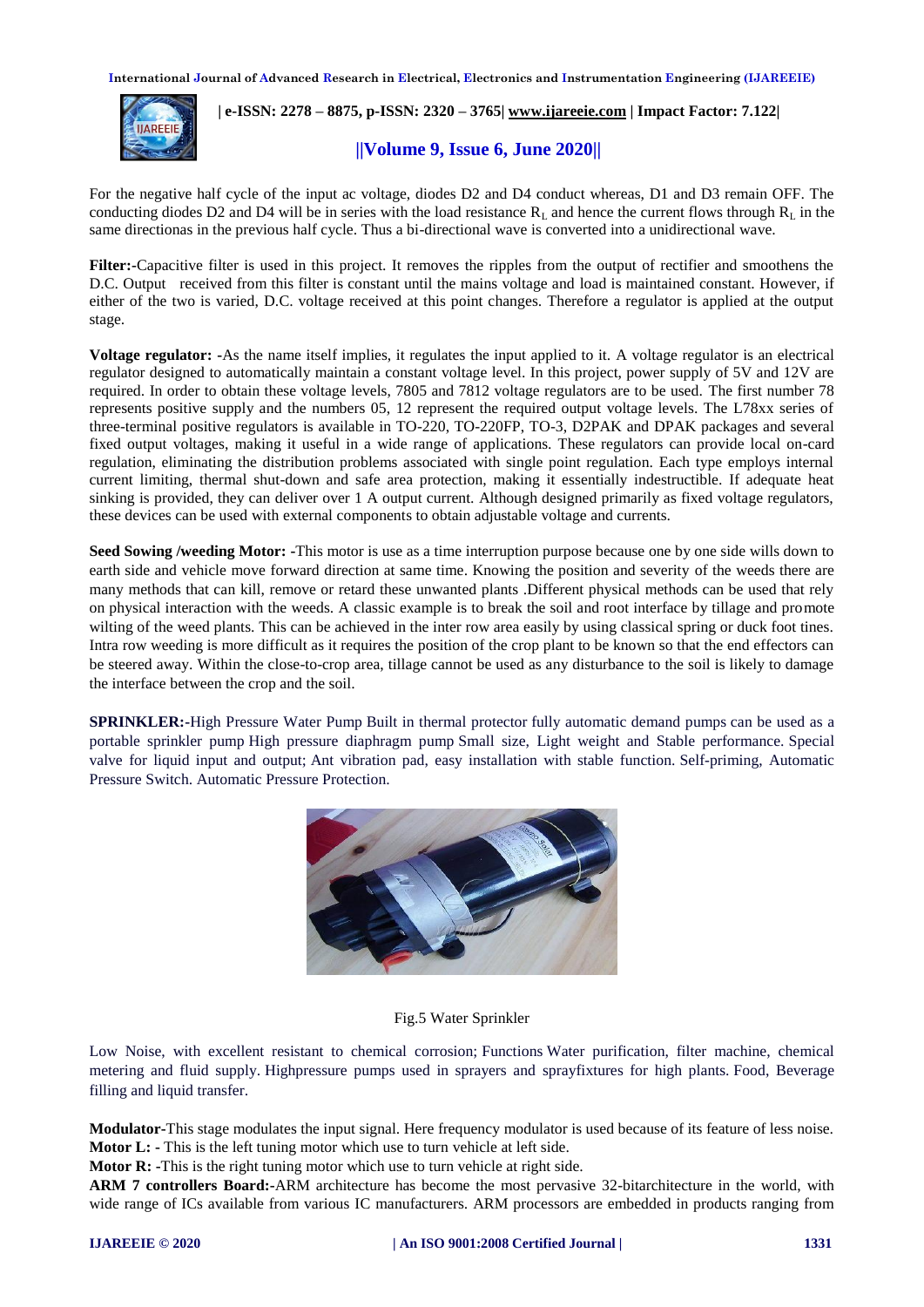

 **| e-ISSN: 2278 – 8875, p-ISSN: 2320 – 3765[| www.ijareeie.com](http://www.ijareeie.com/) | Impact Factor: 7.122|** 

# **||Volume 9, Issue 6, June 2020||**

For the negative half cycle of the input ac voltage, diodes D2 and D4 conduct whereas, D1 and D3 remain OFF. The conducting diodes D2 and D4 will be in series with the load resistance  $R_L$  and hence the current flows through  $R_L$  in the same directionas in the previous half cycle. Thus a bi-directional wave is converted into a unidirectional wave.

**Filter:-**Capacitive filter is used in this project. It removes the ripples from the output of rectifier and smoothens the D.C. Output received from this filter is constant until the mains voltage and load is maintained constant. However, if either of the two is varied, D.C. voltage received at this point changes. Therefore a regulator is applied at the output stage.

**Voltage regulator: -**As the name itself implies, it regulates the input applied to it. A voltage regulator is an electrical regulator designed to automatically maintain a constant voltage level. In this project, power supply of 5V and 12V are required. In order to obtain these voltage levels, 7805 and 7812 voltage regulators are to be used. The first number 78 represents positive supply and the numbers 05, 12 represent the required output voltage levels. The L78xx series of three-terminal positive regulators is available in TO-220, TO-220FP, TO-3, D2PAK and DPAK packages and several fixed output voltages, making it useful in a wide range of applications. These regulators can provide local on-card regulation, eliminating the distribution problems associated with single point regulation. Each type employs internal current limiting, thermal shut-down and safe area protection, making it essentially indestructible. If adequate heat sinking is provided, they can deliver over 1 A output current. Although designed primarily as fixed voltage regulators, these devices can be used with external components to obtain adjustable voltage and currents.

**Seed Sowing /weeding Motor: -**This motor is use as a time interruption purpose because one by one side wills down to earth side and vehicle move forward direction at same time. Knowing the position and severity of the weeds there are many methods that can kill, remove or retard these unwanted plants .Different physical methods can be used that rely on physical interaction with the weeds. A classic example is to break the soil and root interface by tillage and promote wilting of the weed plants. This can be achieved in the inter row area easily by using classical spring or duck foot tines. Intra row weeding is more difficult as it requires the position of the crop plant to be known so that the end effectors can be steered away. Within the close-to-crop area, tillage cannot be used as any disturbance to the soil is likely to damage the interface between the crop and the soil.

**SPRINKLER:-**High Pressure Water Pump Built in thermal protector fully automatic demand pumps can be used as a portable sprinkler pump High pressure diaphragm pump Small size, Light weight and Stable performance. Special valve for liquid input and output; Ant vibration pad, easy installation with stable function. Self-priming, Automatic Pressure Switch. Automatic Pressure Protection.



#### Fig.5 Water Sprinkler

Low Noise, with excellent resistant to chemical corrosion; Functions Water purification, filter machine, chemical metering and fluid supply. Highpressure pumps used in sprayers and sprayfixtures for high plants. Food, Beverage filling and liquid transfer.

**Modulator-**This stage modulates the input signal. Here frequency modulator is used because of its feature of less noise. **Motor L: -** This is the left tuning motor which use to turn vehicle at left side.

**Motor R:** -This is the right tuning motor which use to turn vehicle at right side.

**ARM 7 controllers Board:-**ARM architecture has become the most pervasive 32-bitarchitecture in the world, with wide range of ICs available from various IC manufacturers. ARM processors are embedded in products ranging from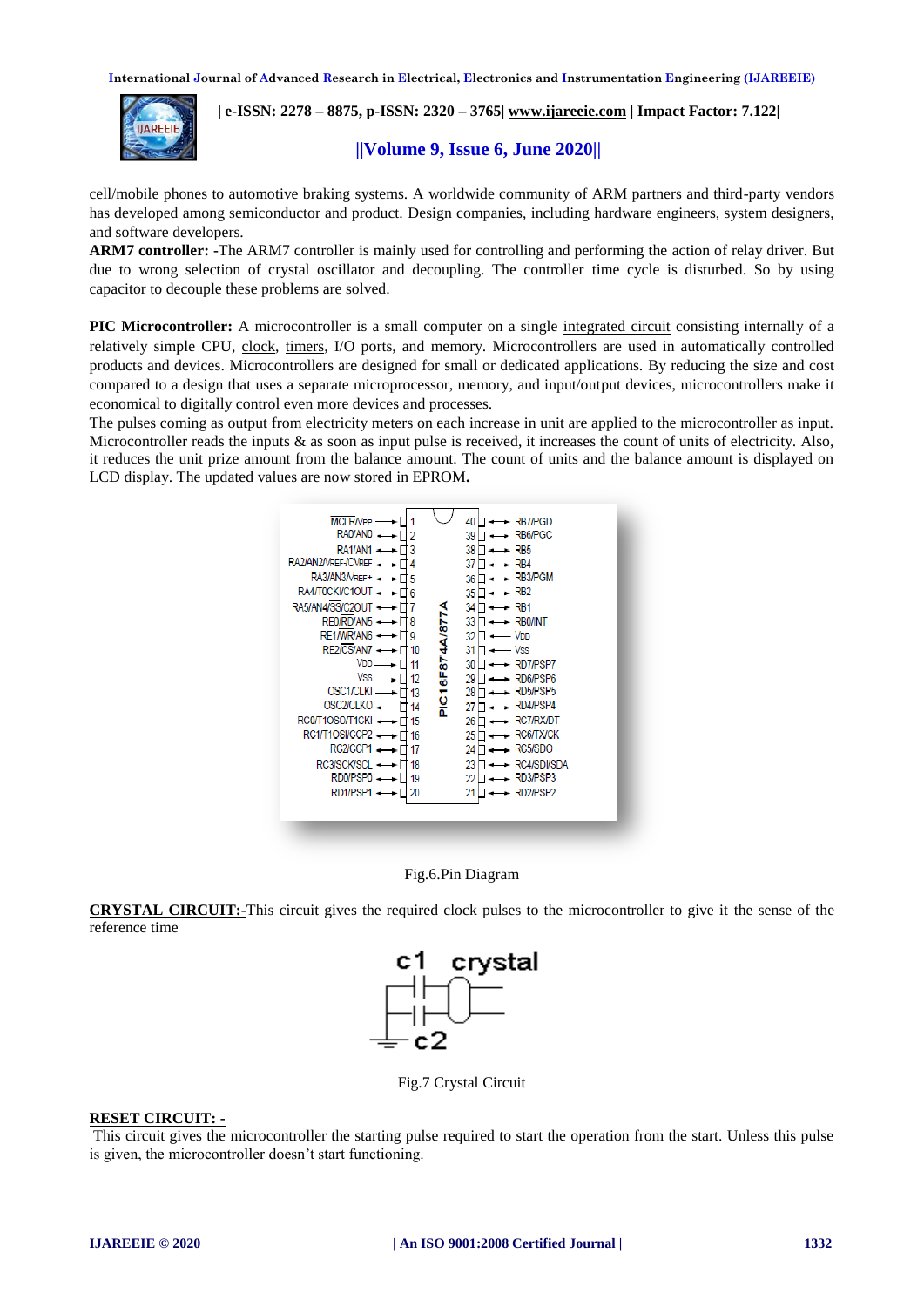

 **| e-ISSN: 2278 – 8875, p-ISSN: 2320 – 3765[| www.ijareeie.com](http://www.ijareeie.com/) | Impact Factor: 7.122|** 

 **||Volume 9, Issue 6, June 2020||** 

cell/mobile phones to automotive braking systems. A worldwide community of ARM partners and third-party vendors has developed among semiconductor and product. Design companies, including hardware engineers, system designers, and software developers.

**ARM7 controller: -**The ARM7 controller is mainly used for controlling and performing the action of relay driver. But due to wrong selection of crystal oscillator and decoupling. The controller time cycle is disturbed. So by using capacitor to decouple these problems are solved.

**PIC Microcontroller:** A microcontroller is a small computer on a single [integrated circuit](http://en.wikipedia.org/wiki/Integrated_circuit) consisting internally of a relatively simple CPU, [clock,](http://en.wikipedia.org/wiki/Crystal_oscillator) [timers,](http://en.wikipedia.org/wiki/Watchdog_timer) I/O ports, and memory. Microcontrollers are used in automatically controlled products and devices. Microcontrollers are designed for small or dedicated applications. By reducing the size and cost compared to a design that uses a separate microprocessor, memory, and input/output devices, microcontrollers make it economical to digitally control even more devices and processes.

The pulses coming as output from electricity meters on each increase in unit are applied to the microcontroller as input. Microcontroller reads the inputs  $\&$  as soon as input pulse is received, it increases the count of units of electricity. Also, it reduces the unit prize amount from the balance amount. The count of units and the balance amount is displayed on LCD display. The updated values are now stored in EPROM**.**





**CRYSTAL CIRCUIT:-**This circuit gives the required clock pulses to the microcontroller to give it the sense of the reference time



Fig.7 Crystal Circuit

#### **RESET CIRCUIT: -**

This circuit gives the microcontroller the starting pulse required to start the operation from the start. Unless this pulse is given, the microcontroller doesn't start functioning.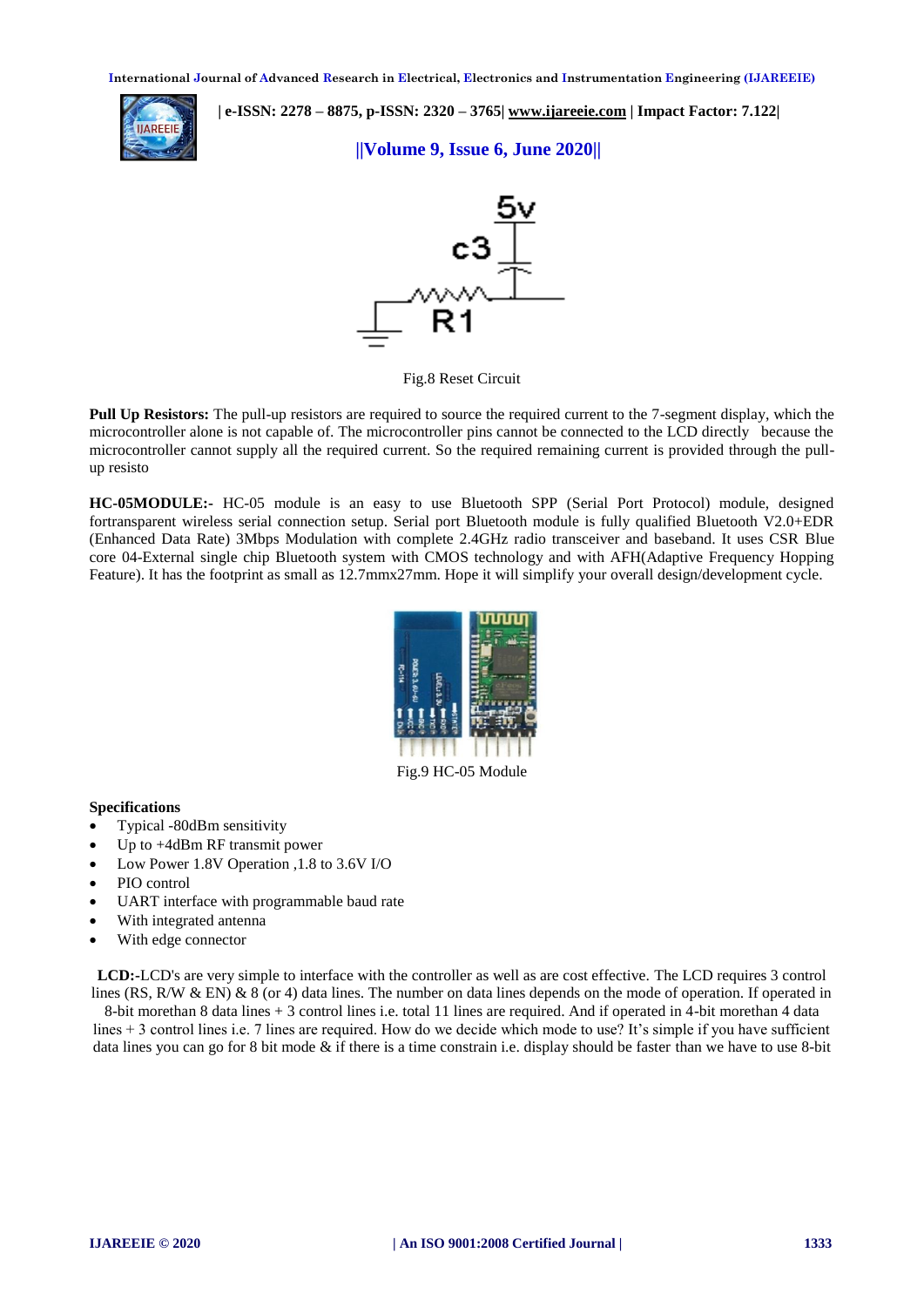

 **| e-ISSN: 2278 – 8875, p-ISSN: 2320 – 3765[| www.ijareeie.com](http://www.ijareeie.com/) | Impact Factor: 7.122|** 

 **||Volume 9, Issue 6, June 2020||** 



Fig.8 Reset Circuit

**Pull Up Resistors:** The pull-up resistors are required to source the required current to the 7-segment display, which the microcontroller alone is not capable of. The microcontroller pins cannot be connected to the LCD directly because the microcontroller cannot supply all the required current. So the required remaining current is provided through the pullup resisto

**HC-05MODULE:-** HC-05 module is an easy to use Bluetooth SPP (Serial Port Protocol) module, designed fortransparent wireless serial connection setup. Serial port Bluetooth module is fully qualified Bluetooth V2.0+EDR (Enhanced Data Rate) 3Mbps Modulation with complete 2.4GHz radio transceiver and baseband. It uses CSR Blue core 04-External single chip Bluetooth system with CMOS technology and with AFH(Adaptive Frequency Hopping Feature). It has the footprint as small as 12.7mmx27mm. Hope it will simplify your overall design/development cycle.



**Specifications**

- Typical -80dBm sensitivity
- Up to +4dBm RF transmit power
- Low Power 1.8V Operation ,1.8 to 3.6V I/O
- PIO control
- UART interface with programmable baud rate
- With integrated antenna
- With edge connector

**LCD:-**LCD's are very simple to interface with the controller as well as are cost effective. The LCD requires 3 control lines (RS, R/W & EN) & 8 (or 4) data lines. The number on data lines depends on the mode of operation. If operated in

8-bit morethan 8 data lines + 3 control lines i.e. total 11 lines are required. And if operated in 4-bit morethan 4 data lines + 3 control lines i.e. 7 lines are required. How do we decide which mode to use? It's simple if you have sufficient data lines you can go for 8 bit mode & if there is a time constrain i.e. display should be faster than we have to use 8-bit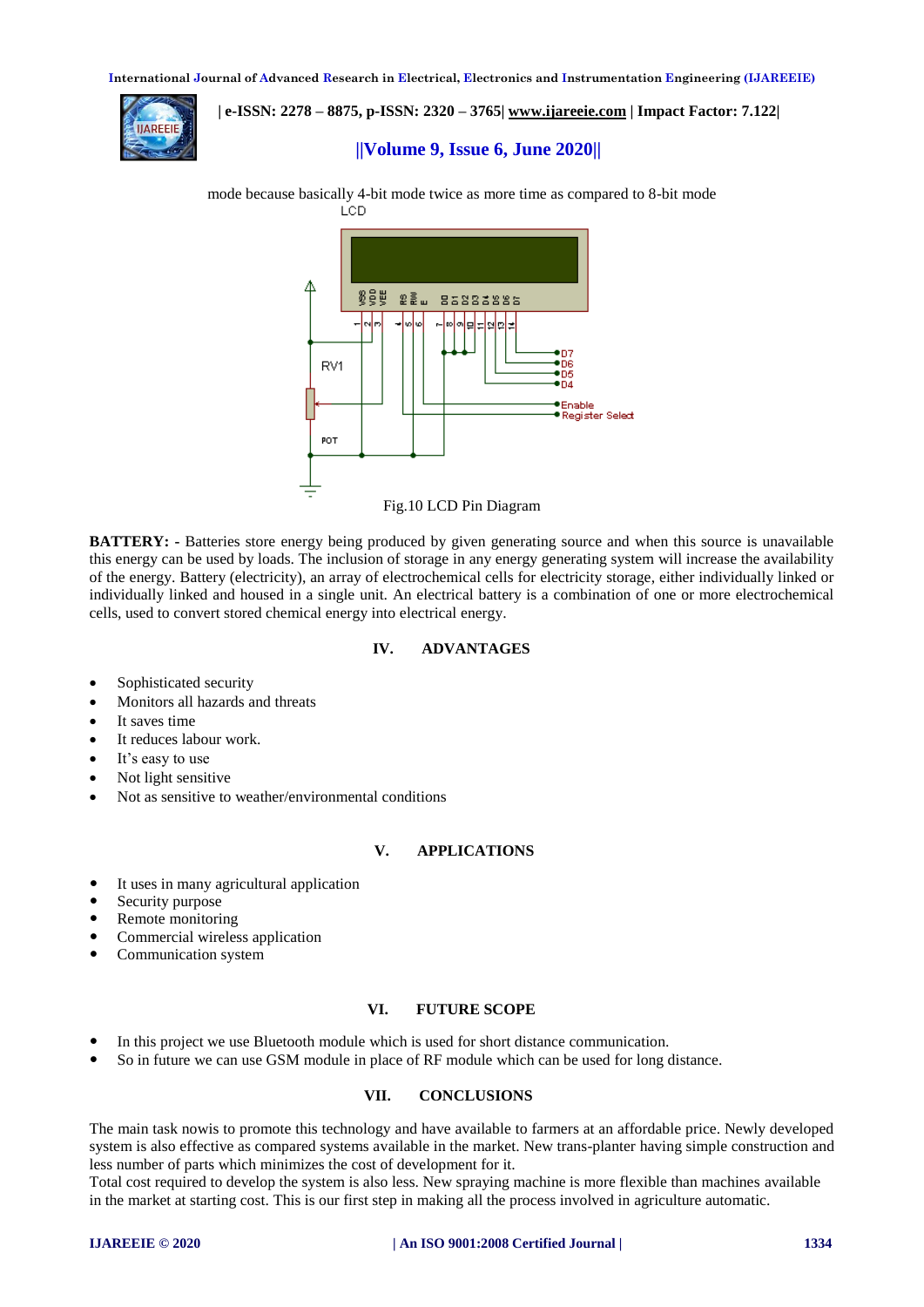

 **| e-ISSN: 2278 – 8875, p-ISSN: 2320 – 3765[| www.ijareeie.com](http://www.ijareeie.com/) | Impact Factor: 7.122|** 

# **||Volume 9, Issue 6, June 2020||**





**BATTERY:** - Batteries store energy being produced by given generating source and when this source is unavailable this energy can be used by loads. The inclusion of storage in any energy generating system will increase the availability of the energy. Battery (electricity), an array of electrochemical cells for electricity storage, either individually linked or individually linked and housed in a single unit. An electrical battery is a combination of one or more electrochemical cells, used to convert stored chemical energy into electrical energy.

#### **IV. ADVANTAGES**

- Sophisticated security
- Monitors all hazards and threats
- It saves time
- It reduces labour work.
- $\bullet$  It's easy to use
- Not light sensitive
- Not as sensitive to weather/environmental conditions

# **V. APPLICATIONS**

- It uses in many agricultural application
- Security purpose
- Remote monitoring
- Commercial wireless application
- Communication system

### **VI. FUTURE SCOPE**

- In this project we use Bluetooth module which is used for short distance communication.
- So in future we can use GSM module in place of RF module which can be used for long distance.

# **VII. CONCLUSIONS**

The main task nowis to promote this technology and have available to farmers at an affordable price. Newly developed system is also effective as compared systems available in the market. New trans-planter having simple construction and less number of parts which minimizes the cost of development for it.

Total cost required to develop the system is also less. New spraying machine is more flexible than machines available in the market at starting cost. This is our first step in making all the process involved in agriculture automatic.